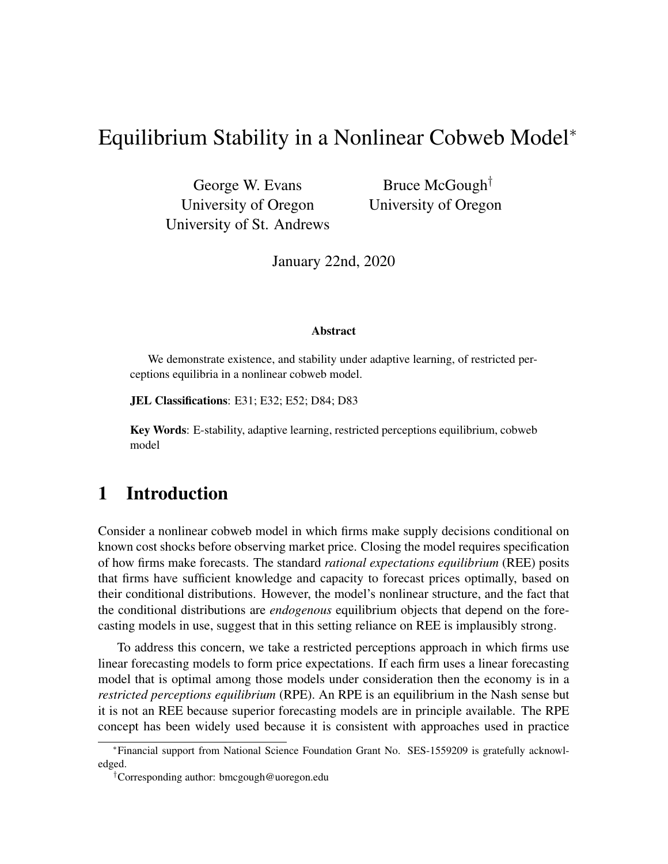# Equilibrium Stability in a Nonlinear Cobweb Model<sup>∗</sup>

George W. Evans University of Oregon University of St. Andrews

Bruce McGough† University of Oregon

January 22nd, 2020

#### Abstract

We demonstrate existence, and stability under adaptive learning, of restricted perceptions equilibria in a nonlinear cobweb model.

JEL Classifications: E31; E32; E52; D84; D83

Key Words: E-stability, adaptive learning, restricted perceptions equilibrium, cobweb model

## 1 Introduction

Consider a nonlinear cobweb model in which firms make supply decisions conditional on known cost shocks before observing market price. Closing the model requires specification of how firms make forecasts. The standard *rational expectations equilibrium* (REE) posits that firms have sufficient knowledge and capacity to forecast prices optimally, based on their conditional distributions. However, the model's nonlinear structure, and the fact that the conditional distributions are *endogenous* equilibrium objects that depend on the forecasting models in use, suggest that in this setting reliance on REE is implausibly strong.

To address this concern, we take a restricted perceptions approach in which firms use linear forecasting models to form price expectations. If each firm uses a linear forecasting model that is optimal among those models under consideration then the economy is in a *restricted perceptions equilibrium* (RPE). An RPE is an equilibrium in the Nash sense but it is not an REE because superior forecasting models are in principle available. The RPE concept has been widely used because it is consistent with approaches used in practice

<sup>∗</sup>Financial support from National Science Foundation Grant No. SES-1559209 is gratefully acknowledged.

<sup>†</sup>Corresponding author: bmcgough@uoregon.edu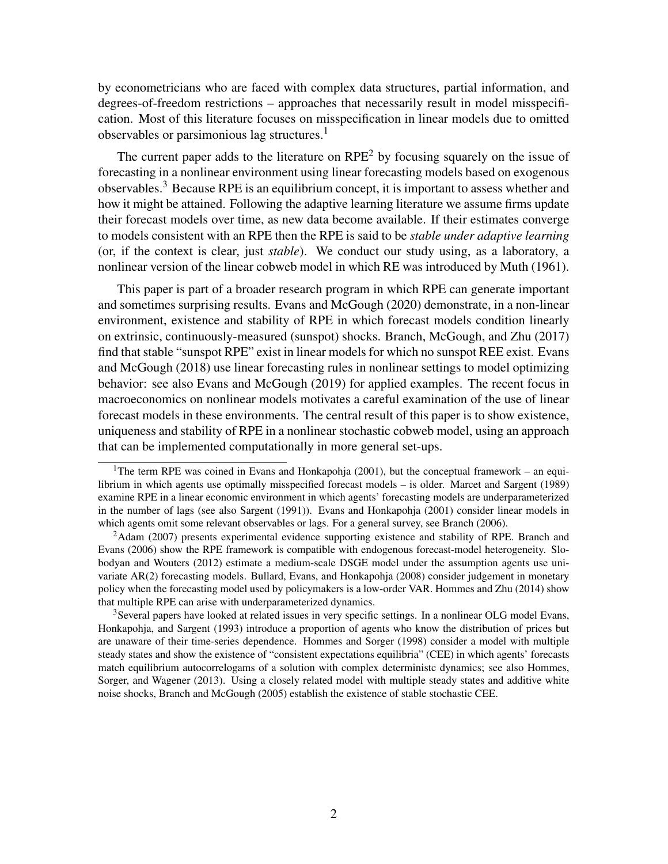by econometricians who are faced with complex data structures, partial information, and degrees-of-freedom restrictions – approaches that necessarily result in model misspecification. Most of this literature focuses on misspecification in linear models due to omitted observables or parsimonious lag structures.<sup>1</sup>

The current paper adds to the literature on  $RPE<sup>2</sup>$  by focusing squarely on the issue of forecasting in a nonlinear environment using linear forecasting models based on exogenous observables.<sup>3</sup> Because RPE is an equilibrium concept, it is important to assess whether and how it might be attained. Following the adaptive learning literature we assume firms update their forecast models over time, as new data become available. If their estimates converge to models consistent with an RPE then the RPE is said to be *stable under adaptive learning* (or, if the context is clear, just *stable*). We conduct our study using, as a laboratory, a nonlinear version of the linear cobweb model in which RE was introduced by Muth (1961).

This paper is part of a broader research program in which RPE can generate important and sometimes surprising results. Evans and McGough (2020) demonstrate, in a non-linear environment, existence and stability of RPE in which forecast models condition linearly on extrinsic, continuously-measured (sunspot) shocks. Branch, McGough, and Zhu (2017) find that stable "sunspot RPE" exist in linear models for which no sunspot REE exist. Evans and McGough (2018) use linear forecasting rules in nonlinear settings to model optimizing behavior: see also Evans and McGough (2019) for applied examples. The recent focus in macroeconomics on nonlinear models motivates a careful examination of the use of linear forecast models in these environments. The central result of this paper is to show existence, uniqueness and stability of RPE in a nonlinear stochastic cobweb model, using an approach that can be implemented computationally in more general set-ups.

<sup>3</sup>Several papers have looked at related issues in very specific settings. In a nonlinear OLG model Evans, Honkapohja, and Sargent (1993) introduce a proportion of agents who know the distribution of prices but are unaware of their time-series dependence. Hommes and Sorger (1998) consider a model with multiple steady states and show the existence of "consistent expectations equilibria" (CEE) in which agents' forecasts match equilibrium autocorrelogams of a solution with complex deterministc dynamics; see also Hommes, Sorger, and Wagener (2013). Using a closely related model with multiple steady states and additive white noise shocks, Branch and McGough (2005) establish the existence of stable stochastic CEE.

<sup>&</sup>lt;sup>1</sup>The term RPE was coined in Evans and Honkapohja (2001), but the conceptual framework – an equilibrium in which agents use optimally misspecified forecast models – is older. Marcet and Sargent (1989) examine RPE in a linear economic environment in which agents' forecasting models are underparameterized in the number of lags (see also Sargent (1991)). Evans and Honkapohja (2001) consider linear models in which agents omit some relevant observables or lags. For a general survey, see Branch (2006).

<sup>&</sup>lt;sup>2</sup>Adam (2007) presents experimental evidence supporting existence and stability of RPE. Branch and Evans (2006) show the RPE framework is compatible with endogenous forecast-model heterogeneity. Slobodyan and Wouters (2012) estimate a medium-scale DSGE model under the assumption agents use univariate AR(2) forecasting models. Bullard, Evans, and Honkapohja (2008) consider judgement in monetary policy when the forecasting model used by policymakers is a low-order VAR. Hommes and Zhu (2014) show that multiple RPE can arise with underparameterized dynamics.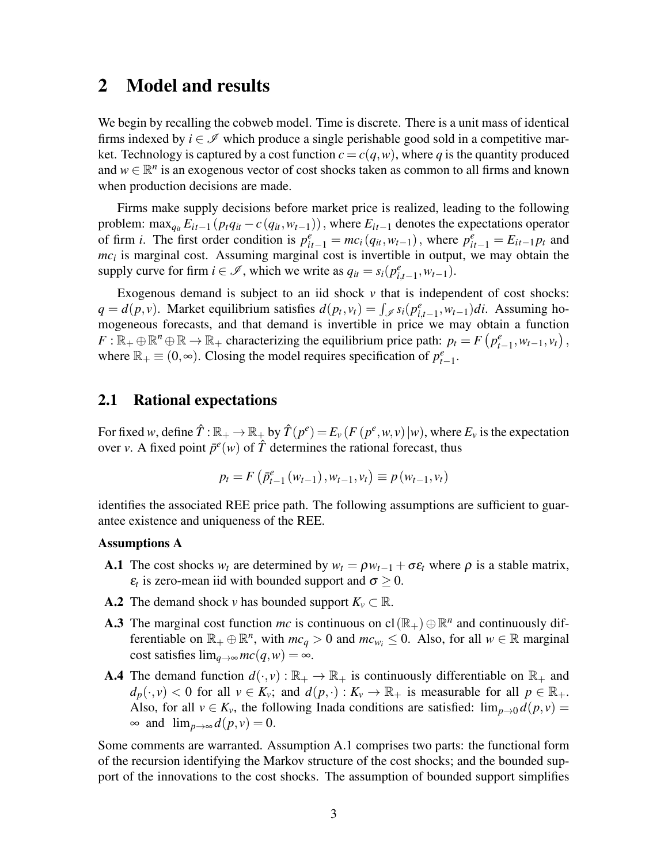### 2 Model and results

We begin by recalling the cobweb model. Time is discrete. There is a unit mass of identical firms indexed by  $i \in \mathcal{I}$  which produce a single perishable good sold in a competitive market. Technology is captured by a cost function  $c = c(q, w)$ , where q is the quantity produced and  $w \in \mathbb{R}^n$  is an exogenous vector of cost shocks taken as common to all firms and known when production decisions are made.

Firms make supply decisions before market price is realized, leading to the following problem: max<sub>*q<sub>it</sub>*  $E_{it-1}(p_tq_{it} - c(q_{it}, w_{t-1}))$ , where  $E_{it-1}$  denotes the expectations operator</sub> of firm *i*. The first order condition is  $p_{it-1}^e = mc_i(q_{it}, w_{t-1})$ , where  $p_{it-1}^e = E_{it-1}p_t$  and *mc<sup>i</sup>* is marginal cost. Assuming marginal cost is invertible in output, we may obtain the supply curve for firm  $i \in \mathcal{I}$ , which we write as  $q_{it} = s_i(p_{i,t-1}^e, w_{t-1})$ .

Exogenous demand is subject to an iid shock  $\nu$  that is independent of cost shocks:  $q = d(p, v)$ . Market equilibrium satisfies  $d(p_t, v_t) = \int_{\mathscr{I}} s_i(p_{i,t-1}^e, w_{t-1})di$ . Assuming homogeneous forecasts, and that demand is invertible in price we may obtain a function  $F: \mathbb{R}_+ \oplus \mathbb{R}^n \oplus \mathbb{R} \to \mathbb{R}_+$  characterizing the equilibrium price path:  $p_t = F(p_{t-1}^e, w_{t-1}, v_t)$ , where  $\mathbb{R}_+ \equiv (0, \infty)$ . Closing the model requires specification of  $p_{t-1}^e$ .

#### 2.1 Rational expectations

For fixed *w*, define  $\hat{T}$  :  $\mathbb{R}_+ \to \mathbb{R}_+$  by  $\hat{T}(p^e) = E_\nu(F(p^e, w, v) | w)$ , where  $E_\nu$  is the expectation over *v*. A fixed point  $\bar{p}^e(w)$  of  $\hat{T}$  determines the rational forecast, thus

$$
p_{t} = F\left(\bar{p}_{t-1}^{e}\left(w_{t-1}\right), w_{t-1}, v_{t}\right) \equiv p\left(w_{t-1}, v_{t}\right)
$$

identifies the associated REE price path. The following assumptions are sufficient to guarantee existence and uniqueness of the REE.

#### Assumptions A

- **A.1** The cost shocks  $w_t$  are determined by  $w_t = \rho w_{t-1} + \sigma \varepsilon_t$  where  $\rho$  is a stable matrix,  $\varepsilon_t$  is zero-mean iid with bounded support and  $\sigma \geq 0$ .
- **A.2** The demand shock *v* has bounded support  $K_v \subset \mathbb{R}$ .
- A.3 The marginal cost function *mc* is continuous on  $\text{cl}(\mathbb{R}_+) \oplus \mathbb{R}^n$  and continuously differentiable on  $\mathbb{R}_+ \oplus \mathbb{R}^n$ , with  $mc_q > 0$  and  $mc_{w_i} \leq 0$ . Also, for all  $w \in \mathbb{R}$  marginal cost satisfies  $\lim_{q \to \infty} mc(q, w) = \infty$ .
- **A.4** The demand function  $d(\cdot, v): \mathbb{R}_+ \to \mathbb{R}_+$  is continuously differentiable on  $\mathbb{R}_+$  and  $d_p(\cdot, v) < 0$  for all  $v \in K_v$ ; and  $d(p, \cdot) : K_v \to \mathbb{R}_+$  is measurable for all  $p \in \mathbb{R}_+$ . Also, for all  $v \in K_v$ , the following Inada conditions are satisfied:  $\lim_{p\to 0} d(p, v) =$  $\infty$  and  $\lim_{p\to\infty} d(p, v) = 0$ .

Some comments are warranted. Assumption A.1 comprises two parts: the functional form of the recursion identifying the Markov structure of the cost shocks; and the bounded support of the innovations to the cost shocks. The assumption of bounded support simplifies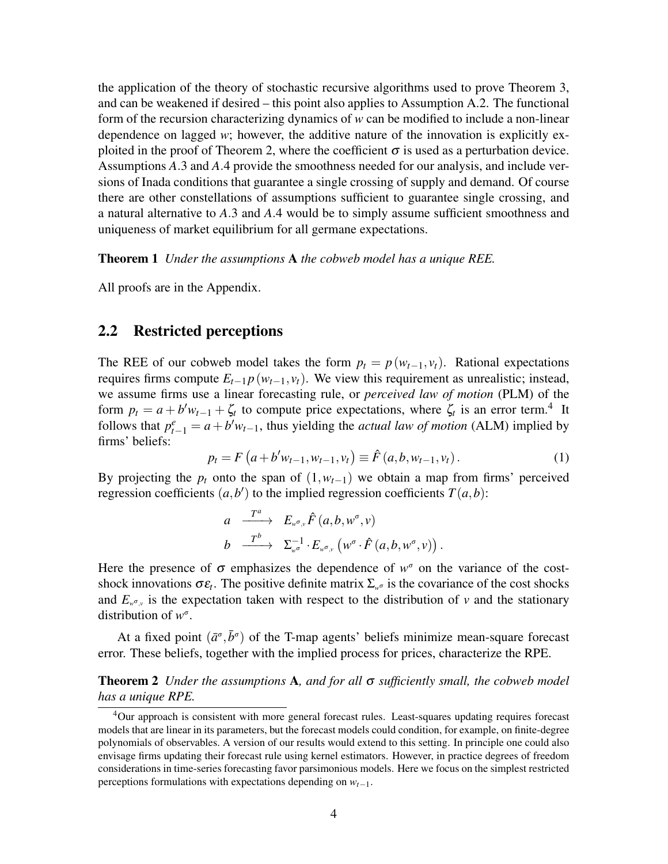the application of the theory of stochastic recursive algorithms used to prove Theorem 3, and can be weakened if desired – this point also applies to Assumption A.2. The functional form of the recursion characterizing dynamics of *w* can be modified to include a non-linear dependence on lagged *w*; however, the additive nature of the innovation is explicitly exploited in the proof of Theorem 2, where the coefficient  $\sigma$  is used as a perturbation device. Assumptions *A*.3 and *A*.4 provide the smoothness needed for our analysis, and include versions of Inada conditions that guarantee a single crossing of supply and demand. Of course there are other constellations of assumptions sufficient to guarantee single crossing, and a natural alternative to *A*.3 and *A*.4 would be to simply assume sufficient smoothness and uniqueness of market equilibrium for all germane expectations.

Theorem 1 *Under the assumptions* A *the cobweb model has a unique REE.*

All proofs are in the Appendix.

### 2.2 Restricted perceptions

The REE of our cobweb model takes the form  $p_t = p(w_{t-1}, v_t)$ . Rational expectations requires firms compute  $E_{t-1} p(w_{t-1}, v_t)$ . We view this requirement as unrealistic; instead, we assume firms use a linear forecasting rule, or *perceived law of motion* (PLM) of the form  $p_t = a + b'w_{t-1} + \zeta_t$  to compute price expectations, where  $\zeta_t$  is an error term.<sup>4</sup> It follows that  $p_{t-1}^e = a + b'w_{t-1}$ , thus yielding the *actual law of motion* (ALM) implied by firms' beliefs:

$$
p_t = F\left(a + b'w_{t-1}, w_{t-1}, v_t\right) \equiv \hat{F}\left(a, b, w_{t-1}, v_t\right). \tag{1}
$$

By projecting the  $p_t$  onto the span of  $(1, w_{t-1})$  we obtain a map from firms' perceived regression coefficients  $(a, b')$  to the implied regression coefficients  $T(a, b)$ :

$$
a \xrightarrow{T^a} E_{w^{\sigma},v} \hat{F}(a,b,w^{\sigma},v)
$$
  
\n
$$
b \xrightarrow{T^b} \Sigma_{w^{\sigma}}^{-1} \cdot E_{w^{\sigma},v} \left(w^{\sigma} \cdot \hat{F}(a,b,w^{\sigma},v)\right).
$$

Here the presence of  $\sigma$  emphasizes the dependence of  $w^{\sigma}$  on the variance of the costshock innovations  $\sigma \varepsilon_t$ . The positive definite matrix  $\Sigma_{\psi^\sigma}$  is the covariance of the cost shocks and  $E_{w^{\sigma}, v}$  is the expectation taken with respect to the distribution of *v* and the stationary distribution of *w*<sup>σ</sup>.

At a fixed point  $(\bar{a}^{\sigma}, \bar{b}^{\sigma})$  of the T-map agents' beliefs minimize mean-square forecast error. These beliefs, together with the implied process for prices, characterize the RPE.

Theorem 2 *Under the assumptions* A*, and for all* σ *sufficiently small, the cobweb model has a unique RPE.*

<sup>4</sup>Our approach is consistent with more general forecast rules. Least-squares updating requires forecast models that are linear in its parameters, but the forecast models could condition, for example, on finite-degree polynomials of observables. A version of our results would extend to this setting. In principle one could also envisage firms updating their forecast rule using kernel estimators. However, in practice degrees of freedom considerations in time-series forecasting favor parsimonious models. Here we focus on the simplest restricted perceptions formulations with expectations depending on *wt*−1.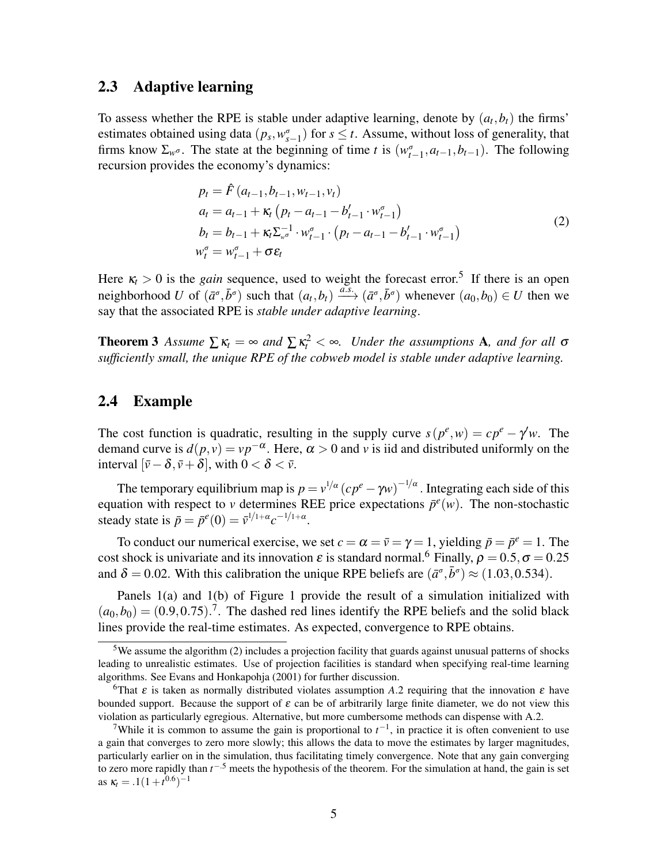#### 2.3 Adaptive learning

To assess whether the RPE is stable under adaptive learning, denote by  $(a_t, b_t)$  the firms' estimates obtained using data  $(p_s, w_{s-1}^{\sigma})$  for  $s \leq t$ . Assume, without loss of generality, that firms know  $\Sigma_{w^\sigma}$ . The state at the beginning of time *t* is  $(w^\sigma_{t-1}, a_{t-1}, b_{t-1})$ . The following recursion provides the economy's dynamics:

$$
p_{t} = \hat{F}(a_{t-1}, b_{t-1}, w_{t-1}, v_{t})
$$
  
\n
$$
a_{t} = a_{t-1} + \kappa_{t} (p_{t} - a_{t-1} - b'_{t-1} \cdot w_{t-1}^{\sigma})
$$
  
\n
$$
b_{t} = b_{t-1} + \kappa_{t} \Sigma_{w^{\sigma}}^{-1} \cdot w_{t-1}^{\sigma} \cdot (p_{t} - a_{t-1} - b'_{t-1} \cdot w_{t-1}^{\sigma})
$$
  
\n
$$
w_{t}^{\sigma} = w_{t-1}^{\sigma} + \sigma \varepsilon_{t}
$$
\n(2)

Here  $\kappa_t > 0$  is the *gain* sequence, used to weight the forecast error.<sup>5</sup> If there is an open neighborhood *U* of  $(\bar{a}^{\sigma}, \bar{b}^{\sigma})$  such that  $(a_t, b_t) \xrightarrow{a.s.} (\bar{a}^{\sigma}, \bar{b}^{\sigma})$  whenever  $(a_0, b_0) \in U$  then we say that the associated RPE is *stable under adaptive learning*.

**Theorem 3** Assume  $\sum \kappa_t = \infty$  and  $\sum \kappa_t^2 < \infty$ . Under the assumptions **A**, and for all  $\sigma$ *sufficiently small, the unique RPE of the cobweb model is stable under adaptive learning.*

### 2.4 Example

The cost function is quadratic, resulting in the supply curve  $s(p^e, w) = cp^e - \gamma'w$ . The demand curve is  $d(p, v) = vp^{-\alpha}$ . Here,  $\alpha > 0$  and *v* is iid and distributed uniformly on the interval  $[\bar{v} - \delta, \bar{v} + \delta]$ , with  $0 < \delta < \bar{v}$ .

The temporary equilibrium map is  $p = v^{1/\alpha} (cp^e - \gamma w)^{-1/\alpha}$ . Integrating each side of this equation with respect to *v* determines REE price expectations  $\bar{p}^e(w)$ . The non-stochastic steady state is  $\bar{p} = \bar{p}^e(0) = \bar{v}^{1/1+\alpha} c^{-1/1+\alpha}$ .

To conduct our numerical exercise, we set  $c = \alpha = \overline{v} = \gamma = 1$ , yielding  $\overline{p} = \overline{p}^e = 1$ . The cost shock is univariate and its innovation  $\varepsilon$  is standard normal.<sup>6</sup> Finally,  $\rho = 0.5$ ,  $\sigma = 0.25$ and  $\delta = 0.02$ . With this calibration the unique RPE beliefs are  $(\bar{a}^{\sigma}, \bar{b}^{\sigma}) \approx (1.03, 0.534)$ .

Panels 1(a) and 1(b) of Figure 1 provide the result of a simulation initialized with  $(a_0, b_0) = (0.9, 0.75).$ <sup>7</sup>. The dashed red lines identify the RPE beliefs and the solid black lines provide the real-time estimates. As expected, convergence to RPE obtains.

 $5$ We assume the algorithm (2) includes a projection facility that guards against unusual patterns of shocks leading to unrealistic estimates. Use of projection facilities is standard when specifying real-time learning algorithms. See Evans and Honkapohja (2001) for further discussion.

<sup>&</sup>lt;sup>6</sup>That  $\varepsilon$  is taken as normally distributed violates assumption *A*.2 requiring that the innovation  $\varepsilon$  have bounded support. Because the support of  $\varepsilon$  can be of arbitrarily large finite diameter, we do not view this violation as particularly egregious. Alternative, but more cumbersome methods can dispense with A.2.

<sup>&</sup>lt;sup>7</sup>While it is common to assume the gain is proportional to  $t^{-1}$ , in practice it is often convenient to use a gain that converges to zero more slowly; this allows the data to move the estimates by larger magnitudes, particularly earlier on in the simulation, thus facilitating timely convergence. Note that any gain converging to zero more rapidly than  $t^{-5}$  meets the hypothesis of the theorem. For the simulation at hand, the gain is set as  $\kappa_t = .1(1+t^{0.6})^{-1}$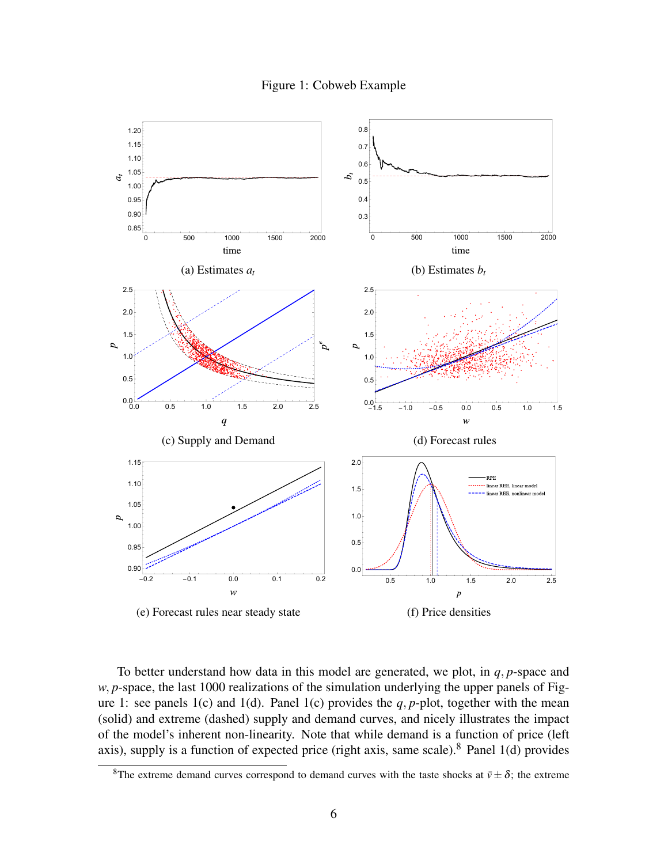Figure 1: Cobweb Example



To better understand how data in this model are generated, we plot, in *q*, *p*-space and *w*, *p*-space, the last 1000 realizations of the simulation underlying the upper panels of Figure 1: see panels 1(c) and 1(d). Panel 1(c) provides the  $q$ ,  $p$ -plot, together with the mean (solid) and extreme (dashed) supply and demand curves, and nicely illustrates the impact of the model's inherent non-linearity. Note that while demand is a function of price (left axis), supply is a function of expected price (right axis, same scale).<sup>8</sup> Panel 1(d) provides

<sup>&</sup>lt;sup>8</sup>The extreme demand curves correspond to demand curves with the taste shocks at  $\bar{v} \pm \delta$ ; the extreme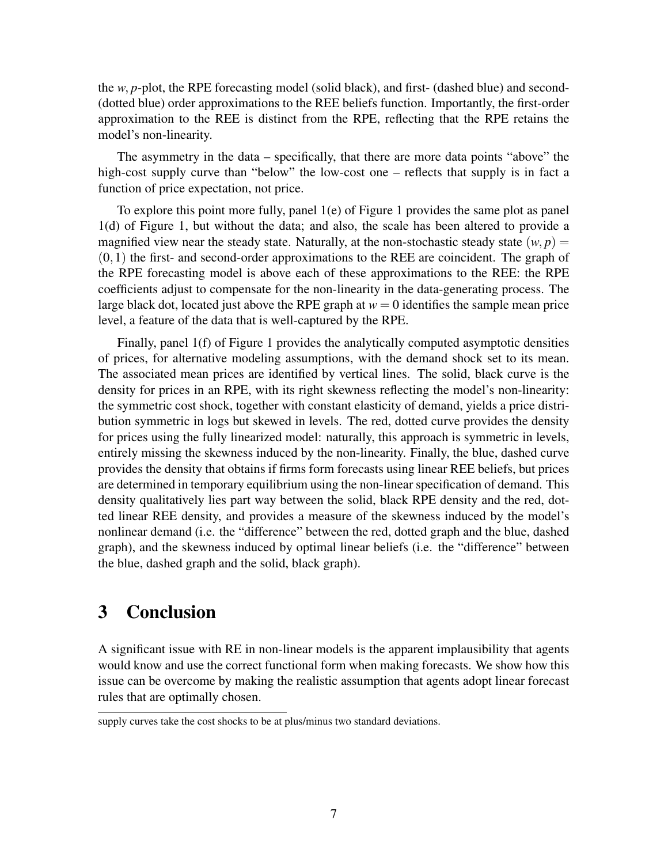the *w*, *p*-plot, the RPE forecasting model (solid black), and first- (dashed blue) and second- (dotted blue) order approximations to the REE beliefs function. Importantly, the first-order approximation to the REE is distinct from the RPE, reflecting that the RPE retains the model's non-linearity.

The asymmetry in the data – specifically, that there are more data points "above" the high-cost supply curve than "below" the low-cost one – reflects that supply is in fact a function of price expectation, not price.

To explore this point more fully, panel 1(e) of Figure 1 provides the same plot as panel 1(d) of Figure 1, but without the data; and also, the scale has been altered to provide a magnified view near the steady state. Naturally, at the non-stochastic steady state  $(w, p)$  =  $(0,1)$  the first- and second-order approximations to the REE are coincident. The graph of the RPE forecasting model is above each of these approximations to the REE: the RPE coefficients adjust to compensate for the non-linearity in the data-generating process. The large black dot, located just above the RPE graph at  $w = 0$  identifies the sample mean price level, a feature of the data that is well-captured by the RPE.

Finally, panel 1(f) of Figure 1 provides the analytically computed asymptotic densities of prices, for alternative modeling assumptions, with the demand shock set to its mean. The associated mean prices are identified by vertical lines. The solid, black curve is the density for prices in an RPE, with its right skewness reflecting the model's non-linearity: the symmetric cost shock, together with constant elasticity of demand, yields a price distribution symmetric in logs but skewed in levels. The red, dotted curve provides the density for prices using the fully linearized model: naturally, this approach is symmetric in levels, entirely missing the skewness induced by the non-linearity. Finally, the blue, dashed curve provides the density that obtains if firms form forecasts using linear REE beliefs, but prices are determined in temporary equilibrium using the non-linear specification of demand. This density qualitatively lies part way between the solid, black RPE density and the red, dotted linear REE density, and provides a measure of the skewness induced by the model's nonlinear demand (i.e. the "difference" between the red, dotted graph and the blue, dashed graph), and the skewness induced by optimal linear beliefs (i.e. the "difference" between the blue, dashed graph and the solid, black graph).

### 3 Conclusion

A significant issue with RE in non-linear models is the apparent implausibility that agents would know and use the correct functional form when making forecasts. We show how this issue can be overcome by making the realistic assumption that agents adopt linear forecast rules that are optimally chosen.

supply curves take the cost shocks to be at plus/minus two standard deviations.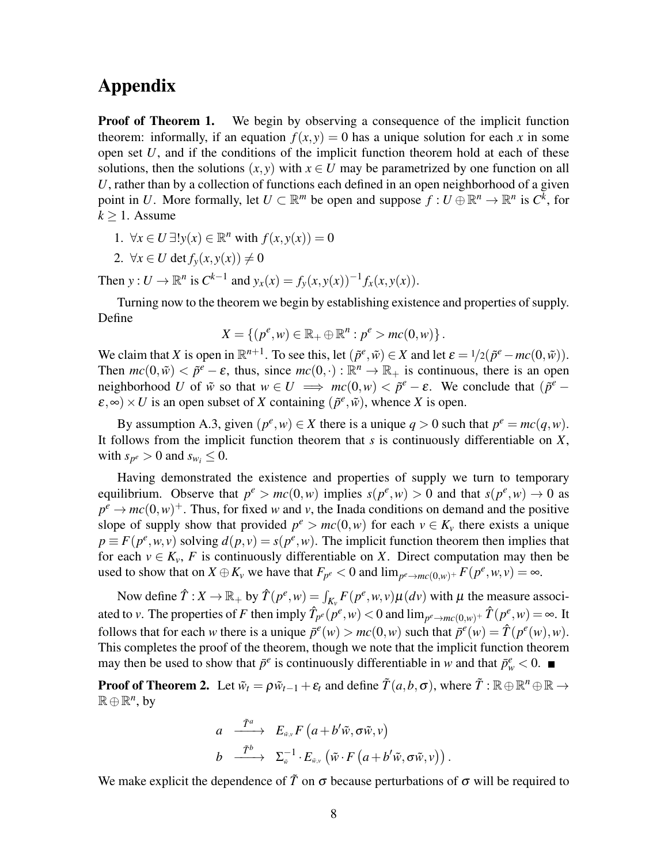## Appendix

**Proof of Theorem 1.** We begin by observing a consequence of the implicit function theorem: informally, if an equation  $f(x, y) = 0$  has a unique solution for each x in some open set *U*, and if the conditions of the implicit function theorem hold at each of these solutions, then the solutions  $(x, y)$  with  $x \in U$  may be parametrized by one function on all *U*, rather than by a collection of functions each defined in an open neighborhood of a given point in *U*. More formally, let  $U \subset \mathbb{R}^m$  be open and suppose  $f: U \oplus \mathbb{R}^n \to \mathbb{R}^n$  is  $C^{\overline{k}}$ , for  $k > 1$ . Assume

- 1.  $\forall x \in U \exists ! y(x) \in \mathbb{R}^n$  with  $f(x, y(x)) = 0$
- 2.  $\forall x \in U$  det  $f_y(x, y(x)) \neq 0$

Then  $y: U \to \mathbb{R}^n$  is  $C^{k-1}$  and  $y_x(x) = f_y(x, y(x))^{-1} f_x(x, y(x))$ .

Turning now to the theorem we begin by establishing existence and properties of supply. Define

$$
X = \{ (p^e, w) \in \mathbb{R}_+ \oplus \mathbb{R}^n : p^e > mc(0, w) \}.
$$

We claim that *X* is open in  $\mathbb{R}^{n+1}$ . To see this, let  $(\tilde{p}^e, \tilde{w}) \in X$  and let  $\varepsilon = 1/2(\tilde{p}^e - mc(0, \tilde{w}))$ . Then  $mc(0, \tilde{w}) < \tilde{p}^e - \varepsilon$ , thus, since  $mc(0, \cdot) : \mathbb{R}^n \to \mathbb{R}_+$  is continuous, there is an open neighborhood *U* of  $\tilde{w}$  so that  $w \in U \implies mc(0, w) < \tilde{p}^e - \varepsilon$ . We conclude that  $(\tilde{p}^e \mathcal{E}, \infty$ ) × *U* is an open subset of *X* containing  $(\tilde{p}^e, \tilde{w})$ , whence *X* is open.

By assumption A.3, given  $(p^e, w) \in X$  there is a unique  $q > 0$  such that  $p^e = mc(q, w)$ . It follows from the implicit function theorem that *s* is continuously differentiable on *X*, with  $s_{p^e} > 0$  and  $s_{w_i} \leq 0$ .

Having demonstrated the existence and properties of supply we turn to temporary equilibrium. Observe that  $p^e > mc(0, w)$  implies  $s(p^e, w) > 0$  and that  $s(p^e, w) \to 0$  as  $p^e \rightarrow mc(0, w)^+$ . Thus, for fixed *w* and *v*, the Inada conditions on demand and the positive slope of supply show that provided  $p^e > mc(0, w)$  for each  $v \in K_v$  there exists a unique  $p \equiv F(p^e, w, v)$  solving  $d(p, v) = s(p^e, w)$ . The implicit function theorem then implies that for each  $v \in K_v$ , *F* is continuously differentiable on *X*. Direct computation may then be used to show that on  $X \oplus K_v$  we have that  $F_{p^e} < 0$  and  $\lim_{p^e \to mc(0,w)^+} F(p^e, w, v) = \infty$ .

Now define  $\hat{T}: X \to \mathbb{R}_+$  by  $\hat{T}(p^e, w) = \int_{K_v} F(p^e, w, v) \mu(dv)$  with  $\mu$  the measure associated to *v*. The properties of *F* then imply  $\hat{T}_{p^e}(p^e, w) < 0$  and  $\lim_{p^e \to mc(0, w)^+} \hat{T}(p^e, w) = \infty$ . It follows that for each *w* there is a unique  $\bar{p}^e(w) > mc(0, w)$  such that  $\bar{p}^e(w) = \hat{T}(p^e(w), w)$ . This completes the proof of the theorem, though we note that the implicit function theorem may then be used to show that  $\bar{p}^e$  is continuously differentiable in *w* and that  $\bar{p}^e_w < 0$ .

**Proof of Theorem 2.** Let  $\tilde{w}_t = \rho \tilde{w}_{t-1} + \varepsilon_t$  and define  $\tilde{T}(a, b, \sigma)$ , where  $\tilde{T} : \mathbb{R} \oplus \mathbb{R}^n \oplus \mathbb{R} \to$  $\mathbb{R} \oplus \mathbb{R}^n$ , by

$$
a \xrightarrow{\tilde{T}^a} E_{\tilde{w},v} F(a+b'\tilde{w}, \sigma \tilde{w}, v)
$$
  
\n
$$
b \xrightarrow{\tilde{T}^b} \Sigma_{\tilde{w}}^{-1} \cdot E_{\tilde{w},v} (\tilde{w} \cdot F(a+b'\tilde{w}, \sigma \tilde{w}, v)).
$$

We make explicit the dependence of  $\tilde{T}$  on  $\sigma$  because perturbations of  $\sigma$  will be required to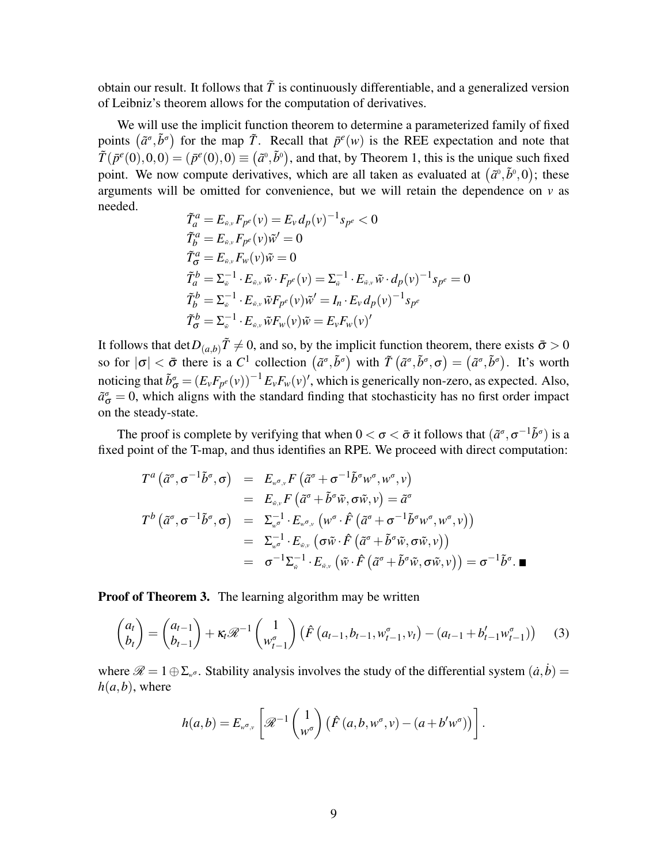obtain our result. It follows that  $\tilde{T}$  is continuously differentiable, and a generalized version of Leibniz's theorem allows for the computation of derivatives.

We will use the implicit function theorem to determine a parameterized family of fixed points  $(\tilde{a}^{\sigma}, \tilde{b}^{\sigma})$  for the map  $\tilde{T}$ . Recall that  $\bar{p}^{e}(w)$  is the REE expectation and note that  $\tilde{T}(p^e(0),0,0) = (p^e(0),0) \equiv (\tilde{a}^0, \tilde{b}^0)$ , and that, by Theorem 1, this is the unique such fixed point. We now compute derivatives, which are all taken as evaluated at  $(\tilde{a}^0, \tilde{b}^0, 0)$ ; these arguments will be omitted for convenience, but we will retain the dependence on  $v$  as needed.

$$
\begin{aligned}\n\tilde{T}_a^a &= E_{\tilde{\mathbf{w}},\mathbf{v}} F_{p^e}(\mathbf{v}) = E_{\mathbf{v}} d_p(\mathbf{v})^{-1} s_{p^e} < 0 \\
\tilde{T}_b^a &= E_{\tilde{\mathbf{w}},\mathbf{v}} F_{p^e}(\mathbf{v}) \tilde{\mathbf{w}}' = 0 \\
\tilde{T}_{\sigma}^d &= E_{\tilde{\mathbf{w}},\mathbf{v}} F_{\mathbf{w}}(\mathbf{v}) \tilde{\mathbf{w}} = 0 \\
\tilde{T}_a^b &= \Sigma_{\tilde{\mathbf{w}}}^{-1} \cdot E_{\tilde{\mathbf{w}},\mathbf{v}} \tilde{\mathbf{w}} \cdot F_{p^e}(\mathbf{v}) = \Sigma_{\tilde{\mathbf{w}}}^{-1} \cdot E_{\tilde{\mathbf{w}},\mathbf{v}} \tilde{\mathbf{w}} \cdot d_p(\mathbf{v})^{-1} s_{p^e} = 0 \\
\tilde{T}_b^b &= \Sigma_{\tilde{\mathbf{w}}}^{-1} \cdot E_{\tilde{\mathbf{w}},\mathbf{v}} \tilde{\mathbf{w}} F_{p^e}(\mathbf{v}) \tilde{\mathbf{w}}' = I_n \cdot E_{\mathbf{v}} d_p(\mathbf{v})^{-1} s_{p^e} \\
\tilde{T}_{\sigma}^b &= \Sigma_{\tilde{\mathbf{w}}}^{-1} \cdot E_{\tilde{\mathbf{w}},\mathbf{v}} \tilde{\mathbf{w}} F_{\mathbf{w}}(\mathbf{v}) \tilde{\mathbf{w}} = E_{\mathbf{v}} F_{\mathbf{w}}(\mathbf{v})'\n\end{aligned}
$$

It follows that  $\det D_{(a,b)}\tilde{T} \neq 0$ , and so, by the implicit function theorem, there exists  $\bar{\sigma} > 0$ so for  $|\sigma| < \bar{\sigma}$  there is a *C*<sup>1</sup> collection  $(\tilde{a}^{\sigma}, \tilde{b}^{\sigma})$  with  $\tilde{T}(\tilde{a}^{\sigma}, \tilde{b}^{\sigma}, \sigma) = (\tilde{a}^{\sigma}, \tilde{b}^{\sigma})$ . It's worth noticing that  $\tilde{b}^{\sigma}_{\sigma} = (E_v F_{p^e}(v))^{-1} E_v F_w(v)'$ , which is generically non-zero, as expected. Also,  $\tilde{a}^{\sigma}_{\sigma} = 0$ , which aligns with the standard finding that stochasticity has no first order impact on the steady-state.

The proof is complete by verifying that when  $0 < \sigma < \bar{\sigma}$  it follows that  $(\tilde{a}^{\sigma}, \sigma^{-1}\tilde{b}^{\sigma})$  is a fixed point of the T-map, and thus identifies an RPE. We proceed with direct computation:

$$
T^{a}(\tilde{a}^{\sigma}, \sigma^{-1}\tilde{b}^{\sigma}, \sigma) = E_{w^{\sigma}, v}F(\tilde{a}^{\sigma} + \sigma^{-1}\tilde{b}^{\sigma}w^{\sigma}, w^{\sigma}, v)
$$
  
\n
$$
= E_{\tilde{w}, v}F(\tilde{a}^{\sigma} + \tilde{b}^{\sigma}\tilde{w}, \sigma\tilde{w}, v) = \tilde{a}^{\sigma}
$$
  
\n
$$
T^{b}(\tilde{a}^{\sigma}, \sigma^{-1}\tilde{b}^{\sigma}, \sigma) = \Sigma_{w^{\sigma}}^{-1} \cdot E_{w^{\sigma}, v}(w^{\sigma} \cdot \hat{F}(\tilde{a}^{\sigma} + \sigma^{-1}\tilde{b}^{\sigma}w^{\sigma}, w^{\sigma}, v))
$$
  
\n
$$
= \Sigma_{w^{\sigma}}^{-1} \cdot E_{\tilde{w}, v}(\sigma\tilde{w} \cdot \hat{F}(\tilde{a}^{\sigma} + \tilde{b}^{\sigma}\tilde{w}, \sigma\tilde{w}, v))
$$
  
\n
$$
= \sigma^{-1}\Sigma_{\tilde{w}}^{-1} \cdot E_{\tilde{w}, v}(\tilde{w} \cdot \hat{F}(\tilde{a}^{\sigma} + \tilde{b}^{\sigma}\tilde{w}, \sigma\tilde{w}, v)) = \sigma^{-1}\tilde{b}^{\sigma}.\blacksquare
$$

**Proof of Theorem 3.** The learning algorithm may be written

$$
\begin{pmatrix} a_t \\ b_t \end{pmatrix} = \begin{pmatrix} a_{t-1} \\ b_{t-1} \end{pmatrix} + \kappa_t \mathcal{R}^{-1} \begin{pmatrix} 1 \\ w_{t-1}^{\sigma} \end{pmatrix} \left( \hat{F} \left( a_{t-1}, b_{t-1}, w_{t-1}^{\sigma}, v_t \right) - \left( a_{t-1} + b'_{t-1} w_{t-1}^{\sigma} \right) \right)
$$
(3)

where  $\mathscr{R} = 1 \oplus \Sigma_{w^{\sigma}}$ . Stability analysis involves the study of the differential system  $(\dot{a}, \dot{b}) =$  $h(a,b)$ , where

$$
h(a,b) = E_{w^{\sigma},v} \left[ \mathscr{R}^{-1} \begin{pmatrix} 1 \\ w^{\sigma} \end{pmatrix} \left( \hat{F}(a,b,w^{\sigma},v) - (a+b'w^{\sigma}) \right) \right].
$$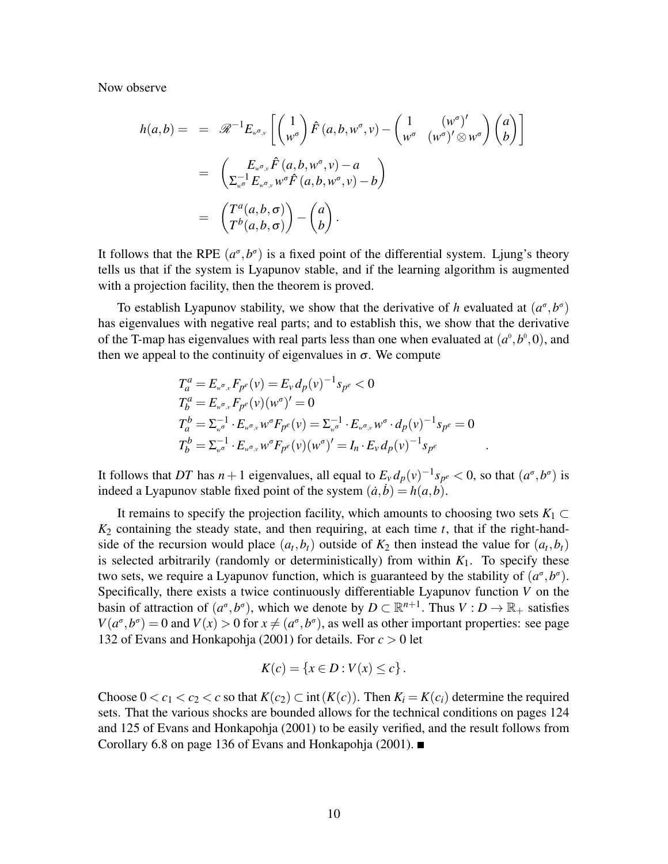Now observe

$$
h(a,b) = = \mathcal{R}^{-1} E_{w^{\sigma},v} \left[ \begin{pmatrix} 1 \\ w^{\sigma} \end{pmatrix} \hat{F}(a,b,w^{\sigma},v) - \begin{pmatrix} 1 & (w^{\sigma})' \\ w^{\sigma} & (w^{\sigma})' \otimes w^{\sigma} \end{pmatrix} \begin{pmatrix} a \\ b \end{pmatrix} \right]
$$
  

$$
= \begin{pmatrix} E_{w^{\sigma},v} \hat{F}(a,b,w^{\sigma},v) - a \\ \sum_{w^{\sigma}} E_{w^{\sigma},v} w^{\sigma} \hat{F}(a,b,w^{\sigma},v) - b \end{pmatrix}
$$
  

$$
= \begin{pmatrix} T^{a}(a,b,\sigma) \\ T^{b}(a,b,\sigma) \end{pmatrix} - \begin{pmatrix} a \\ b \end{pmatrix}.
$$

It follows that the RPE  $(a^{\sigma}, b^{\sigma})$  is a fixed point of the differential system. Ljung's theory tells us that if the system is Lyapunov stable, and if the learning algorithm is augmented with a projection facility, then the theorem is proved.

To establish Lyapunov stability, we show that the derivative of *h* evaluated at  $(a^{\sigma}, b^{\sigma})$ has eigenvalues with negative real parts; and to establish this, we show that the derivative of the T-map has eigenvalues with real parts less than one when evaluated at  $(a^0, b^0, 0)$ , and then we appeal to the continuity of eigenvalues in  $\sigma$ . We compute

$$
T_a^a = E_{w^{\sigma},v} F_{p^e}(v) = E_v d_p(v)^{-1} s_{p^e} < 0
$$
  
\n
$$
T_b^a = E_{w^{\sigma},v} F_{p^e}(v) (w^{\sigma})' = 0
$$
  
\n
$$
T_a^b = \Sigma_{w^{\sigma}}^{-1} \cdot E_{w^{\sigma},v} w^{\sigma} F_{p^e}(v) = \Sigma_{w^{\sigma}}^{-1} \cdot E_{w^{\sigma},v} w^{\sigma} \cdot d_p(v)^{-1} s_{p^e} = 0
$$
  
\n
$$
T_b^b = \Sigma_{w^{\sigma}}^{-1} \cdot E_{w^{\sigma},v} w^{\sigma} F_{p^e}(v) (w^{\sigma})' = I_n \cdot E_v d_p(v)^{-1} s_{p^e}
$$

It follows that *DT* has *n* + 1 eigenvalues, all equal to  $E_v d_p(v)^{-1} s_{p^e} < 0$ , so that  $(a^\sigma, b^\sigma)$  is indeed a Lyapunov stable fixed point of the system  $(\dot{a}, \dot{b}) = h(a, b)$ .

It remains to specify the projection facility, which amounts to choosing two sets  $K_1 \subset$ *K*<sup>2</sup> containing the steady state, and then requiring, at each time *t*, that if the right-handside of the recursion would place  $(a_t, b_t)$  outside of  $K_2$  then instead the value for  $(a_t, b_t)$ is selected arbitrarily (randomly or deterministically) from within  $K_1$ . To specify these two sets, we require a Lyapunov function, which is guaranteed by the stability of  $(a^{\sigma}, b^{\sigma})$ . Specifically, there exists a twice continuously differentiable Lyapunov function *V* on the basin of attraction of  $(a^{\sigma}, b^{\sigma})$ , which we denote by  $D \subset \mathbb{R}^{n+1}$ . Thus  $V : D \to \mathbb{R}_+$  satisfies  $V(a^{\sigma}, b^{\sigma}) = 0$  and  $V(x) > 0$  for  $x \neq (a^{\sigma}, b^{\sigma})$ , as well as other important properties: see page 132 of Evans and Honkapohja (2001) for details. For *c* > 0 let

$$
K(c) = \{x \in D : V(x) \le c\}.
$$

Choose  $0 < c_1 < c_2 < c$  so that  $K(c_2) \subset \text{int}(K(c))$ . Then  $K_i = K(c_i)$  determine the required sets. That the various shocks are bounded allows for the technical conditions on pages 124 and 125 of Evans and Honkapohja (2001) to be easily verified, and the result follows from Corollary 6.8 on page 136 of Evans and Honkapohja (2001). ■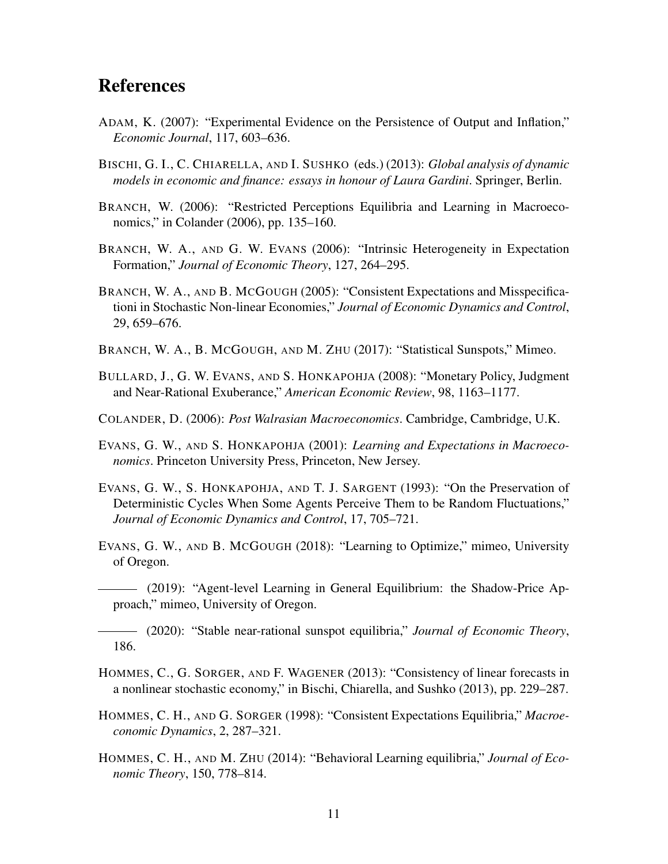### References

- ADAM, K. (2007): "Experimental Evidence on the Persistence of Output and Inflation," *Economic Journal*, 117, 603–636.
- BISCHI, G. I., C. CHIARELLA, AND I. SUSHKO (eds.) (2013): *Global analysis of dynamic models in economic and finance: essays in honour of Laura Gardini*. Springer, Berlin.
- BRANCH, W. (2006): "Restricted Perceptions Equilibria and Learning in Macroeconomics," in Colander (2006), pp. 135–160.
- BRANCH, W. A., AND G. W. EVANS (2006): "Intrinsic Heterogeneity in Expectation Formation," *Journal of Economic Theory*, 127, 264–295.
- BRANCH, W. A., AND B. MCGOUGH (2005): "Consistent Expectations and Misspecificationi in Stochastic Non-linear Economies," *Journal of Economic Dynamics and Control*, 29, 659–676.
- BRANCH, W. A., B. MCGOUGH, AND M. ZHU (2017): "Statistical Sunspots," Mimeo.
- BULLARD, J., G. W. EVANS, AND S. HONKAPOHJA (2008): "Monetary Policy, Judgment and Near-Rational Exuberance," *American Economic Review*, 98, 1163–1177.
- COLANDER, D. (2006): *Post Walrasian Macroeconomics*. Cambridge, Cambridge, U.K.
- EVANS, G. W., AND S. HONKAPOHJA (2001): *Learning and Expectations in Macroeconomics*. Princeton University Press, Princeton, New Jersey.
- EVANS, G. W., S. HONKAPOHJA, AND T. J. SARGENT (1993): "On the Preservation of Deterministic Cycles When Some Agents Perceive Them to be Random Fluctuations," *Journal of Economic Dynamics and Control*, 17, 705–721.
- EVANS, G. W., AND B. MCGOUGH (2018): "Learning to Optimize," mimeo, University of Oregon.
	- (2019): "Agent-level Learning in General Equilibrium: the Shadow-Price Approach," mimeo, University of Oregon.

(2020): "Stable near-rational sunspot equilibria," *Journal of Economic Theory*, 186.

- HOMMES, C., G. SORGER, AND F. WAGENER (2013): "Consistency of linear forecasts in a nonlinear stochastic economy," in Bischi, Chiarella, and Sushko (2013), pp. 229–287.
- HOMMES, C. H., AND G. SORGER (1998): "Consistent Expectations Equilibria," *Macroeconomic Dynamics*, 2, 287–321.
- HOMMES, C. H., AND M. ZHU (2014): "Behavioral Learning equilibria," *Journal of Economic Theory*, 150, 778–814.